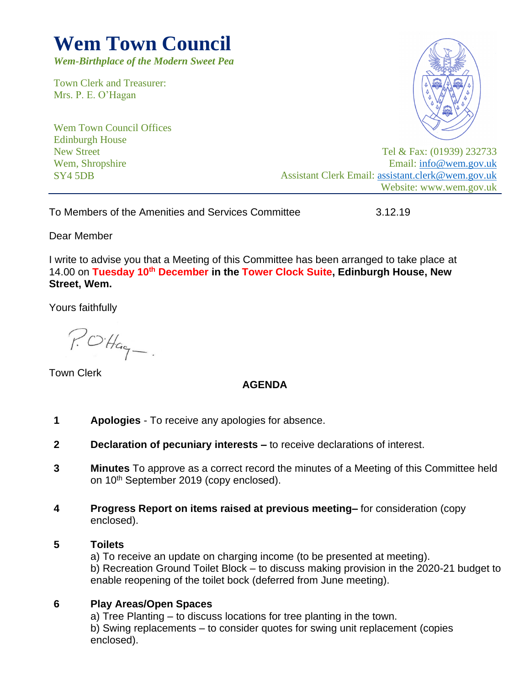# **Wem Town Council**

*Wem-Birthplace of the Modern Sweet Pea*

Town Clerk and Treasurer: Mrs. P. E. O'Hagan

Wem Town Council Offices Edinburgh House New Street Wem, Shropshire SY4 5DB



Tel & Fax: (01939) 232733 Email: [info@wem.gov.uk](mailto:info@wem.gov.uk) Assistant Clerk Email: [assistant.clerk@wem.gov.uk](mailto:assistant.clerk@wem.gov.uk) Website: www.wem.gov.uk

To Members of the Amenities and Services Committee 3.12.19

Dear Member

I write to advise you that a Meeting of this Committee has been arranged to take place at 14.00 on **Tuesday 10th December in the Tower Clock Suite, Edinburgh House, New Street, Wem.**

Yours faithfully

 $P. O H_{aq} -$ .

Town Clerk

## **AGENDA**

- **1 Apologies** To receive any apologies for absence.
- **2 Declaration of pecuniary interests –** to receive declarations of interest.
- **3 Minutes** To approve as a correct record the minutes of a Meeting of this Committee held on 10<sup>th</sup> September 2019 (copy enclosed).
- **4 Progress Report on items raised at previous meeting–** for consideration (copy enclosed).
- **5 Toilets**

a) To receive an update on charging income (to be presented at meeting). b) Recreation Ground Toilet Block – to discuss making provision in the 2020-21 budget to enable reopening of the toilet bock (deferred from June meeting).

#### **6 Play Areas/Open Spaces**

a) Tree Planting – to discuss locations for tree planting in the town. b) Swing replacements – to consider quotes for swing unit replacement (copies enclosed).